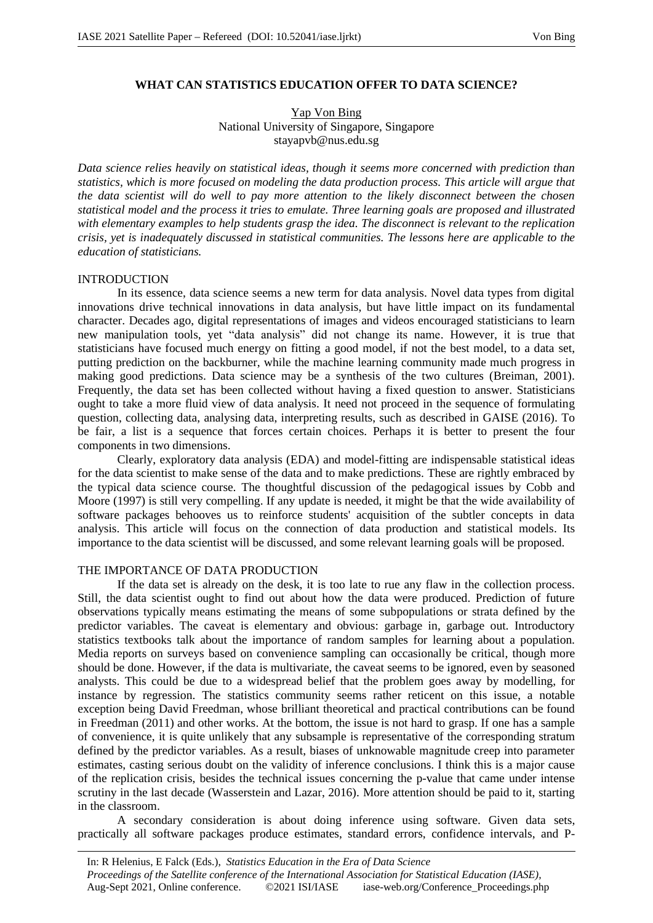# **WHAT CAN STATISTICS EDUCATION OFFER TO DATA SCIENCE?**

Yap Von Bing National University of Singapore, Singapore stayapvb@nus.edu.sg

*Data science relies heavily on statistical ideas, though it seems more concerned with prediction than statistics, which is more focused on modeling the data production process. This article will argue that the data scientist will do well to pay more attention to the likely disconnect between the chosen statistical model and the process it tries to emulate. Three learning goals are proposed and illustrated with elementary examples to help students grasp the idea. The disconnect is relevant to the replication crisis, yet is inadequately discussed in statistical communities. The lessons here are applicable to the education of statisticians.*

### INTRODUCTION

In its essence, data science seems a new term for data analysis. Novel data types from digital innovations drive technical innovations in data analysis, but have little impact on its fundamental character. Decades ago, digital representations of images and videos encouraged statisticians to learn new manipulation tools, yet "data analysis" did not change its name. However, it is true that statisticians have focused much energy on fitting a good model, if not the best model, to a data set, putting prediction on the backburner, while the machine learning community made much progress in making good predictions. Data science may be a synthesis of the two cultures (Breiman, 2001). Frequently, the data set has been collected without having a fixed question to answer. Statisticians ought to take a more fluid view of data analysis. It need not proceed in the sequence of formulating question, collecting data, analysing data, interpreting results, such as described in GAISE (2016). To be fair, a list is a sequence that forces certain choices. Perhaps it is better to present the four components in two dimensions.

Clearly, exploratory data analysis (EDA) and model-fitting are indispensable statistical ideas for the data scientist to make sense of the data and to make predictions. These are rightly embraced by the typical data science course. The thoughtful discussion of the pedagogical issues by Cobb and Moore (1997) is still very compelling. If any update is needed, it might be that the wide availability of software packages behooves us to reinforce students' acquisition of the subtler concepts in data analysis. This article will focus on the connection of data production and statistical models. Its importance to the data scientist will be discussed, and some relevant learning goals will be proposed.

## THE IMPORTANCE OF DATA PRODUCTION

If the data set is already on the desk, it is too late to rue any flaw in the collection process. Still, the data scientist ought to find out about how the data were produced. Prediction of future observations typically means estimating the means of some subpopulations or strata defined by the predictor variables. The caveat is elementary and obvious: garbage in, garbage out. Introductory statistics textbooks talk about the importance of random samples for learning about a population. Media reports on surveys based on convenience sampling can occasionally be critical, though more should be done. However, if the data is multivariate, the caveat seems to be ignored, even by seasoned analysts. This could be due to a widespread belief that the problem goes away by modelling, for instance by regression. The statistics community seems rather reticent on this issue, a notable exception being David Freedman, whose brilliant theoretical and practical contributions can be found in Freedman (2011) and other works. At the bottom, the issue is not hard to grasp. If one has a sample of convenience, it is quite unlikely that any subsample is representative of the corresponding stratum defined by the predictor variables. As a result, biases of unknowable magnitude creep into parameter estimates, casting serious doubt on the validity of inference conclusions. I think this is a major cause of the replication crisis, besides the technical issues concerning the p-value that came under intense scrutiny in the last decade (Wasserstein and Lazar, 2016). More attention should be paid to it, starting in the classroom.

A secondary consideration is about doing inference using software. Given data sets, practically all software packages produce estimates, standard errors, confidence intervals, and P-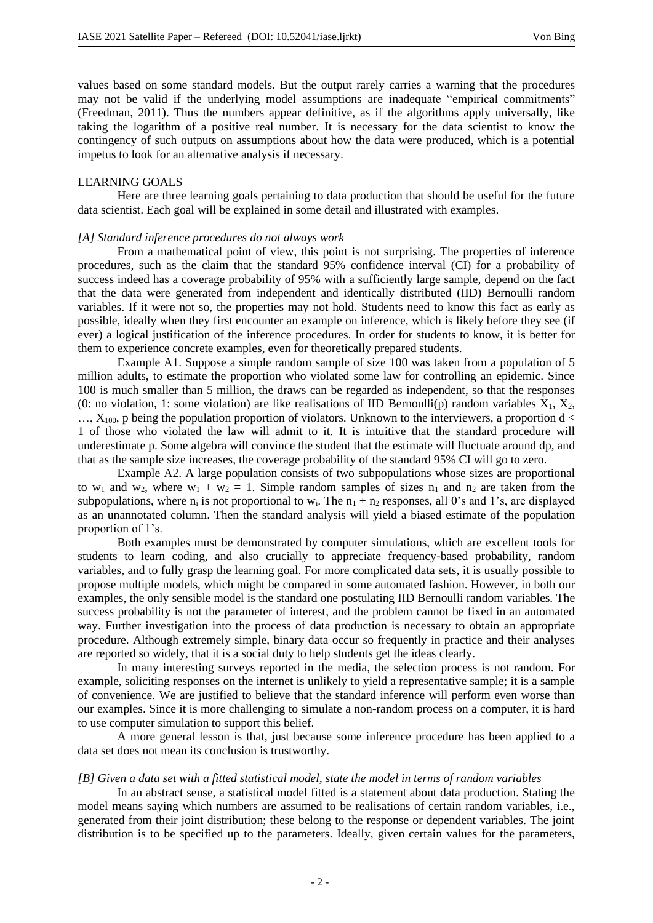values based on some standard models. But the output rarely carries a warning that the procedures may not be valid if the underlying model assumptions are inadequate "empirical commitments" (Freedman, 2011). Thus the numbers appear definitive, as if the algorithms apply universally, like taking the logarithm of a positive real number. It is necessary for the data scientist to know the contingency of such outputs on assumptions about how the data were produced, which is a potential impetus to look for an alternative analysis if necessary.

#### LEARNING GOALS

Here are three learning goals pertaining to data production that should be useful for the future data scientist. Each goal will be explained in some detail and illustrated with examples.

### *[A] Standard inference procedures do not always work*

From a mathematical point of view, this point is not surprising. The properties of inference procedures, such as the claim that the standard 95% confidence interval (CI) for a probability of success indeed has a coverage probability of 95% with a sufficiently large sample, depend on the fact that the data were generated from independent and identically distributed (IID) Bernoulli random variables. If it were not so, the properties may not hold. Students need to know this fact as early as possible, ideally when they first encounter an example on inference, which is likely before they see (if ever) a logical justification of the inference procedures. In order for students to know, it is better for them to experience concrete examples, even for theoretically prepared students.

Example A1. Suppose a simple random sample of size 100 was taken from a population of 5 million adults, to estimate the proportion who violated some law for controlling an epidemic. Since 100 is much smaller than 5 million, the draws can be regarded as independent, so that the responses (0: no violation, 1: some violation) are like realisations of IID Bernoulli(p) random variables  $X_1, X_2,$  $\ldots$ ,  $X_{100}$ , p being the population proportion of violators. Unknown to the interviewers, a proportion d  $\lt$ 1 of those who violated the law will admit to it. It is intuitive that the standard procedure will underestimate p. Some algebra will convince the student that the estimate will fluctuate around dp, and that as the sample size increases, the coverage probability of the standard 95% CI will go to zero.

Example A2. A large population consists of two subpopulations whose sizes are proportional to w<sub>1</sub> and w<sub>2</sub>, where w<sub>1</sub> + w<sub>2</sub> = 1. Simple random samples of sizes n<sub>1</sub> and n<sub>2</sub> are taken from the subpopulations, where  $n_i$  is not proportional to w<sub>i</sub>. The  $n_1 + n_2$  responses, all 0's and 1's, are displayed as an unannotated column. Then the standard analysis will yield a biased estimate of the population proportion of 1's.

Both examples must be demonstrated by computer simulations, which are excellent tools for students to learn coding, and also crucially to appreciate frequency-based probability, random variables, and to fully grasp the learning goal. For more complicated data sets, it is usually possible to propose multiple models, which might be compared in some automated fashion. However, in both our examples, the only sensible model is the standard one postulating IID Bernoulli random variables. The success probability is not the parameter of interest, and the problem cannot be fixed in an automated way. Further investigation into the process of data production is necessary to obtain an appropriate procedure. Although extremely simple, binary data occur so frequently in practice and their analyses are reported so widely, that it is a social duty to help students get the ideas clearly.

In many interesting surveys reported in the media, the selection process is not random. For example, soliciting responses on the internet is unlikely to yield a representative sample; it is a sample of convenience. We are justified to believe that the standard inference will perform even worse than our examples. Since it is more challenging to simulate a non-random process on a computer, it is hard to use computer simulation to support this belief.

A more general lesson is that, just because some inference procedure has been applied to a data set does not mean its conclusion is trustworthy.

#### *[B] Given a data set with a fitted statistical model, state the model in terms of random variables*

In an abstract sense, a statistical model fitted is a statement about data production. Stating the model means saying which numbers are assumed to be realisations of certain random variables, i.e., generated from their joint distribution; these belong to the response or dependent variables. The joint distribution is to be specified up to the parameters. Ideally, given certain values for the parameters,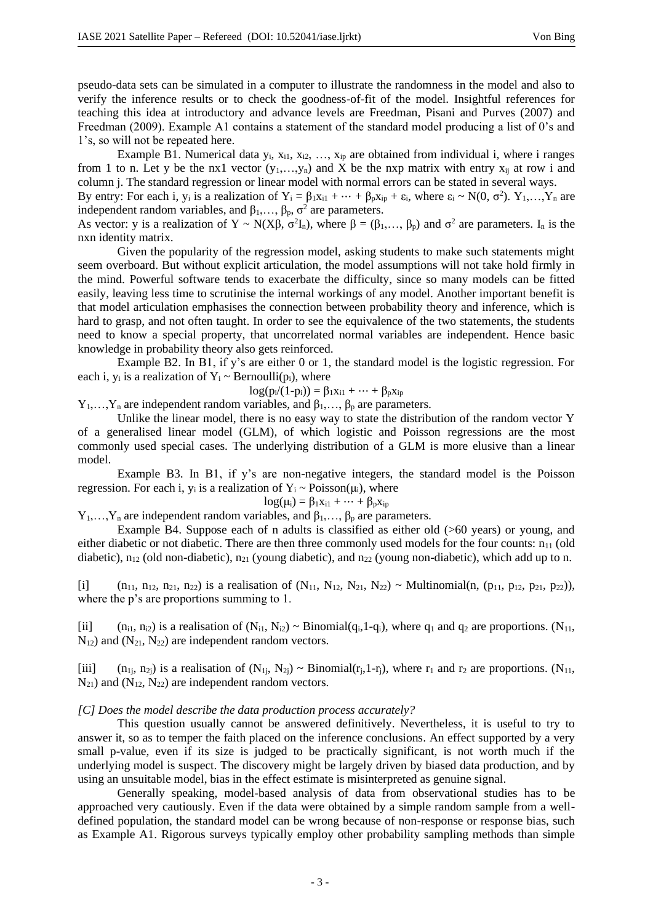pseudo-data sets can be simulated in a computer to illustrate the randomness in the model and also to verify the inference results or to check the goodness-of-fit of the model. Insightful references for teaching this idea at introductory and advance levels are Freedman, Pisani and Purves (2007) and Freedman (2009). Example A1 contains a statement of the standard model producing a list of 0's and 1's, so will not be repeated here.

Example B1. Numerical data  $y_i$ ,  $x_{i1}$ ,  $x_{i2}$ , ...,  $x_{ip}$  are obtained from individual i, where i ranges from 1 to n. Let y be the nx1 vector  $(y_1,...,y_n)$  and X be the nxp matrix with entry  $x_{ii}$  at row i and column j. The standard regression or linear model with normal errors can be stated in several ways.

By entry: For each i,  $y_i$  is a realization of  $Y_i = \beta_1 x_{i1} + \cdots + \beta_p x_{ip} + \varepsilon_i$ , where  $\varepsilon_i \sim N(0, \sigma^2)$ .  $Y_1, \ldots, Y_n$  are independent random variables, and  $\beta_1, \ldots, \beta_p, \sigma^2$  are parameters.

As vector: y is a realization of Y ~ N(X $\beta$ ,  $\sigma^2 I_n$ ), where  $\beta = (\beta_1, ..., \beta_p)$  and  $\sigma^2$  are parameters.  $I_n$  is the nxn identity matrix.

Given the popularity of the regression model, asking students to make such statements might seem overboard. But without explicit articulation, the model assumptions will not take hold firmly in the mind. Powerful software tends to exacerbate the difficulty, since so many models can be fitted easily, leaving less time to scrutinise the internal workings of any model. Another important benefit is that model articulation emphasises the connection between probability theory and inference, which is hard to grasp, and not often taught. In order to see the equivalence of the two statements, the students need to know a special property, that uncorrelated normal variables are independent. Hence basic knowledge in probability theory also gets reinforced.

Example B2. In B1, if y's are either 0 or 1, the standard model is the logistic regression. For each i,  $y_i$  is a realization of  $Y_i$  ~ Bernoulli( $p_i$ ), where

 $log(p_i/(1-p_i)) = \beta_1 x_{i1} + \cdots + \beta_p x_{ip}$ 

 $Y_1, \ldots, Y_n$  are independent random variables, and  $\beta_1, \ldots, \beta_p$  are parameters.

Unlike the linear model, there is no easy way to state the distribution of the random vector Y of a generalised linear model (GLM), of which logistic and Poisson regressions are the most commonly used special cases. The underlying distribution of a GLM is more elusive than a linear model.

Example B3. In B1, if y's are non-negative integers, the standard model is the Poisson regression. For each i,  $y_i$  is a realization of  $Y_i \sim \text{Poisson}(\mu_i)$ , where

$$
log(\mu_i) = \beta_1 x_{i1} + \cdots + \beta_p x_{ip}
$$

 $Y_1, \ldots, Y_n$  are independent random variables, and  $\beta_1, \ldots, \beta_p$  are parameters.

Example B4. Suppose each of n adults is classified as either old (>60 years) or young, and either diabetic or not diabetic. There are then three commonly used models for the four counts:  $n_{11}$  (old diabetic),  $n_{12}$  (old non-diabetic),  $n_{21}$  (young diabetic), and  $n_{22}$  (young non-diabetic), which add up to n.

[i]  $(n_{11}, n_{12}, n_{21}, n_{22})$  is a realisation of  $(N_{11}, N_{12}, N_{21}, N_{22}) \sim \text{Multinomial}(n, (p_{11}, p_{12}, p_{21}, p_{22}))$ , where the p's are proportions summing to 1.

[ii]  $(n_{i1}, n_{i2})$  is a realisation of  $(N_{i1}, N_{i2}) \sim Binomial(q_{i1} - q_{i})$ , where  $q_1$  and  $q_2$  are proportions.  $(N_{11},$  $N_{12}$ ) and  $(N_{21}, N_{22})$  are independent random vectors.

[iii]  $(n_{1i}, n_{2i})$  is a realisation of  $(N_{1i}, N_{2i}) \sim Binomial(r_i, 1-r_i)$ , where  $r_1$  and  $r_2$  are proportions.  $(N_{11},$  $N_{21}$ ) and  $(N_{12}, N_{22})$  are independent random vectors.

#### *[C] Does the model describe the data production process accurately?*

This question usually cannot be answered definitively. Nevertheless, it is useful to try to answer it, so as to temper the faith placed on the inference conclusions. An effect supported by a very small p-value, even if its size is judged to be practically significant, is not worth much if the underlying model is suspect. The discovery might be largely driven by biased data production, and by using an unsuitable model, bias in the effect estimate is misinterpreted as genuine signal.

Generally speaking, model-based analysis of data from observational studies has to be approached very cautiously. Even if the data were obtained by a simple random sample from a welldefined population, the standard model can be wrong because of non-response or response bias, such as Example A1. Rigorous surveys typically employ other probability sampling methods than simple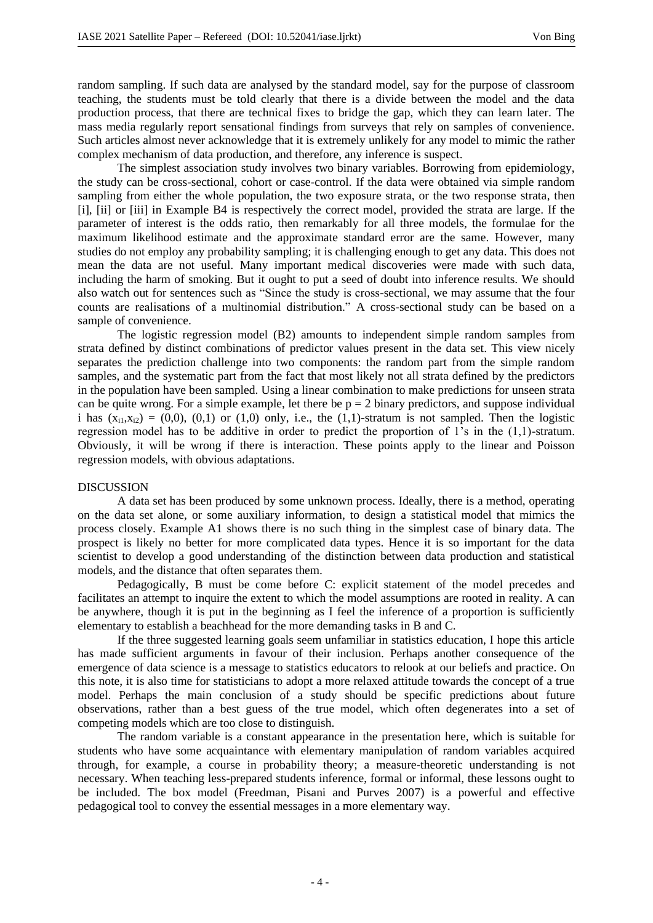random sampling. If such data are analysed by the standard model, say for the purpose of classroom teaching, the students must be told clearly that there is a divide between the model and the data production process, that there are technical fixes to bridge the gap, which they can learn later. The mass media regularly report sensational findings from surveys that rely on samples of convenience. Such articles almost never acknowledge that it is extremely unlikely for any model to mimic the rather complex mechanism of data production, and therefore, any inference is suspect.

The simplest association study involves two binary variables. Borrowing from epidemiology, the study can be cross-sectional, cohort or case-control. If the data were obtained via simple random sampling from either the whole population, the two exposure strata, or the two response strata, then [i], [ii] or [iii] in Example B4 is respectively the correct model, provided the strata are large. If the parameter of interest is the odds ratio, then remarkably for all three models, the formulae for the maximum likelihood estimate and the approximate standard error are the same. However, many studies do not employ any probability sampling; it is challenging enough to get any data. This does not mean the data are not useful. Many important medical discoveries were made with such data, including the harm of smoking. But it ought to put a seed of doubt into inference results. We should also watch out for sentences such as "Since the study is cross-sectional, we may assume that the four counts are realisations of a multinomial distribution." A cross-sectional study can be based on a sample of convenience.

The logistic regression model (B2) amounts to independent simple random samples from strata defined by distinct combinations of predictor values present in the data set. This view nicely separates the prediction challenge into two components: the random part from the simple random samples, and the systematic part from the fact that most likely not all strata defined by the predictors in the population have been sampled. Using a linear combination to make predictions for unseen strata can be quite wrong. For a simple example, let there be  $p = 2$  binary predictors, and suppose individual i has  $(x_{i1},x_{i2}) = (0,0)$ ,  $(0,1)$  or  $(1,0)$  only, i.e., the  $(1,1)$ -stratum is not sampled. Then the logistic regression model has to be additive in order to predict the proportion of 1's in the (1,1)-stratum. Obviously, it will be wrong if there is interaction. These points apply to the linear and Poisson regression models, with obvious adaptations.

### DISCUSSION

A data set has been produced by some unknown process. Ideally, there is a method, operating on the data set alone, or some auxiliary information, to design a statistical model that mimics the process closely. Example A1 shows there is no such thing in the simplest case of binary data. The prospect is likely no better for more complicated data types. Hence it is so important for the data scientist to develop a good understanding of the distinction between data production and statistical models, and the distance that often separates them.

Pedagogically, B must be come before C: explicit statement of the model precedes and facilitates an attempt to inquire the extent to which the model assumptions are rooted in reality. A can be anywhere, though it is put in the beginning as I feel the inference of a proportion is sufficiently elementary to establish a beachhead for the more demanding tasks in B and C.

If the three suggested learning goals seem unfamiliar in statistics education, I hope this article has made sufficient arguments in favour of their inclusion. Perhaps another consequence of the emergence of data science is a message to statistics educators to relook at our beliefs and practice. On this note, it is also time for statisticians to adopt a more relaxed attitude towards the concept of a true model. Perhaps the main conclusion of a study should be specific predictions about future observations, rather than a best guess of the true model, which often degenerates into a set of competing models which are too close to distinguish.

The random variable is a constant appearance in the presentation here, which is suitable for students who have some acquaintance with elementary manipulation of random variables acquired through, for example, a course in probability theory; a measure-theoretic understanding is not necessary. When teaching less-prepared students inference, formal or informal, these lessons ought to be included. The box model (Freedman, Pisani and Purves 2007) is a powerful and effective pedagogical tool to convey the essential messages in a more elementary way.